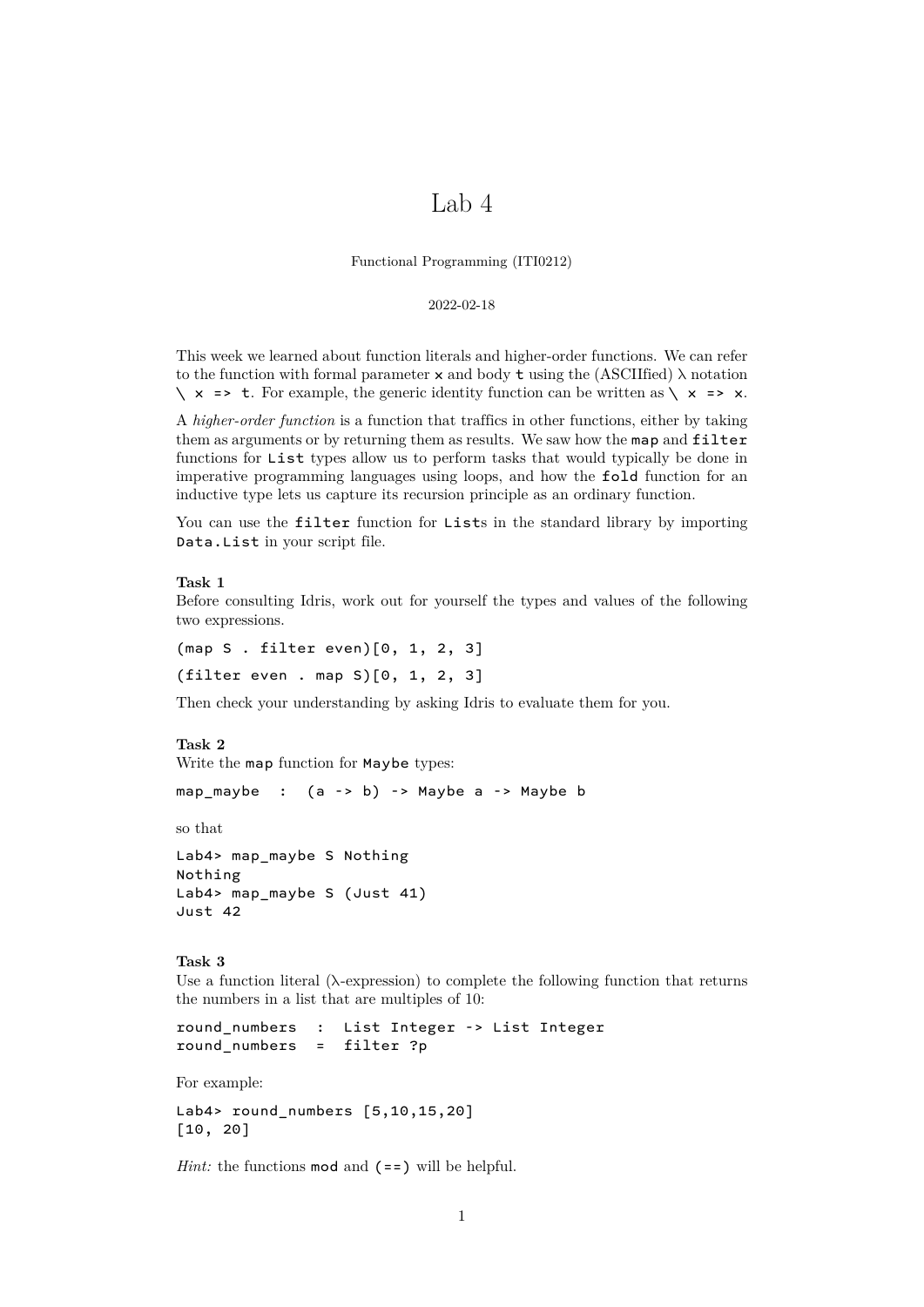# Lab 4

Functional Programming (ITI0212)

### 2022-02-18

This week we learned about function literals and higher-order functions. We can refer to the function with formal parameter  $\times$  and body  $\times$  using the (ASCIIfied)  $\lambda$  notation  $\setminus x$  => t. For example, the generic identity function can be written as  $\setminus x$  => x.

A *higher-order function* is a function that traffics in other functions, either by taking them as arguments or by returning them as results. We saw how the map and filter functions for List types allow us to perform tasks that would typically be done in imperative programming languages using loops, and how the fold function for an inductive type lets us capture its recursion principle as an ordinary function.

You can use the filter function for Lists in the standard library by importing Data.List in your script file.

## **Task 1**

Before consulting Idris, work out for yourself the types and values of the following two expressions.

(map S . filter even)[0, 1, 2, 3] (filter even . map S)[0, 1, 2, 3]

Then check your understanding by asking Idris to evaluate them for you.

# **Task 2**

Write the map function for Maybe types:

map maybe :  $(a -> b) ->$  Maybe a  $->$  Maybe b

so that

```
Lab4> map_maybe S Nothing
Nothing
Lab4> map_maybe S (Just 41)
Just 42
```
**Task 3**

Use a function literal  $(\lambda$ -expression) to complete the following function that returns the numbers in a list that are multiples of 10:

round\_numbers : List Integer -> List Integer round\_numbers = filter ?p

For example:

Lab4> round numbers  $[5,10,15,20]$ [10, 20]

*Hint:* the functions **mod** and (==) will be helpful.